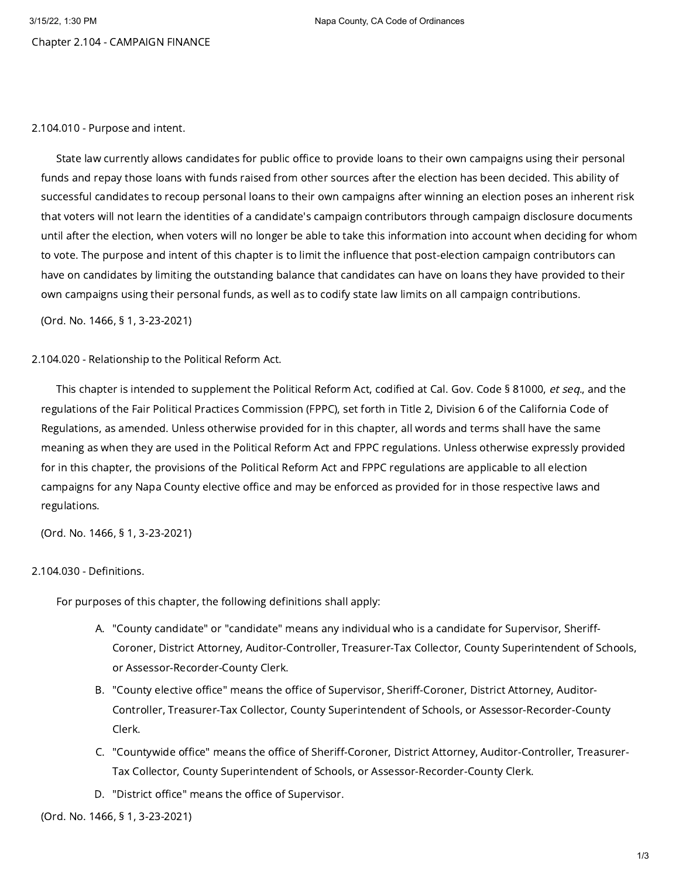# Chapter 2.104 - CAMPAIGN FINANCE

### 2.104.010 - Purpose and intent.

State law currently allows candidates for public office to provide loans to their own campaigns using their personal funds and repay those loans with funds raised from other sources after the election has been decided. This ability of successful candidates to recoup personal loans to their own campaigns after winning an election poses an inherent risk that voters will not learn the identities of a candidate's campaign contributors through campaign disclosure documents until after the election, when voters will no longer be able to take this information into account when deciding for whom to vote. The purpose and intent of this chapter is to limit the influence that post-election campaign contributors can have on candidates by limiting the outstanding balance that candidates can have on loans they have provided to their own campaigns using their personal funds, as well as to codify state law limits on all campaign contributions.

(Ord. No. 1466, § 1, 3-23-2021)

# 2.104.020 - Relationship to the Political Reform Act.

This chapter is intended to supplement the Political Reform Act, codified at Cal. Gov. Code § 81000, et seq., and the regulations of the Fair Political Practices Commission (FPPC), set forth in Title 2, Division 6 of the California Code of Regulations, as amended. Unless otherwise provided for in this chapter, all words and terms shall have the same meaning as when they are used in the Political Reform Act and FPPC regulations. Unless otherwise expressly provided for in this chapter, the provisions of the Political Reform Act and FPPC regulations are applicable to all election campaigns for any Napa County elective office and may be enforced as provided for in those respective laws and regulations.

(Ord. No. 1466, § 1, 3-23-2021)

# 2.104.030 - Definitions.

For purposes of this chapter, the following definitions shall apply:

- A. "County candidate" or "candidate" means any individual who is a candidate for Supervisor, Sheriff-Coroner, District Attorney, Auditor-Controller, Treasurer-Tax Collector, County Superintendent of Schools, or Assessor-Recorder-County Clerk.
- B. "County elective office" means the office of Supervisor, Sheriff-Coroner, District Attorney, Auditor-Controller, Treasurer-Tax Collector, County Superintendent of Schools, or Assessor-Recorder-County Clerk.
- C. "Countywide office" means the office of Sheriff-Coroner, District Attorney, Auditor-Controller, Treasurer-Tax Collector, County Superintendent of Schools, or Assessor-Recorder-County Clerk.
- D. "District office" means the office of Supervisor.

(Ord. No. 1466, § 1, 3-23-2021)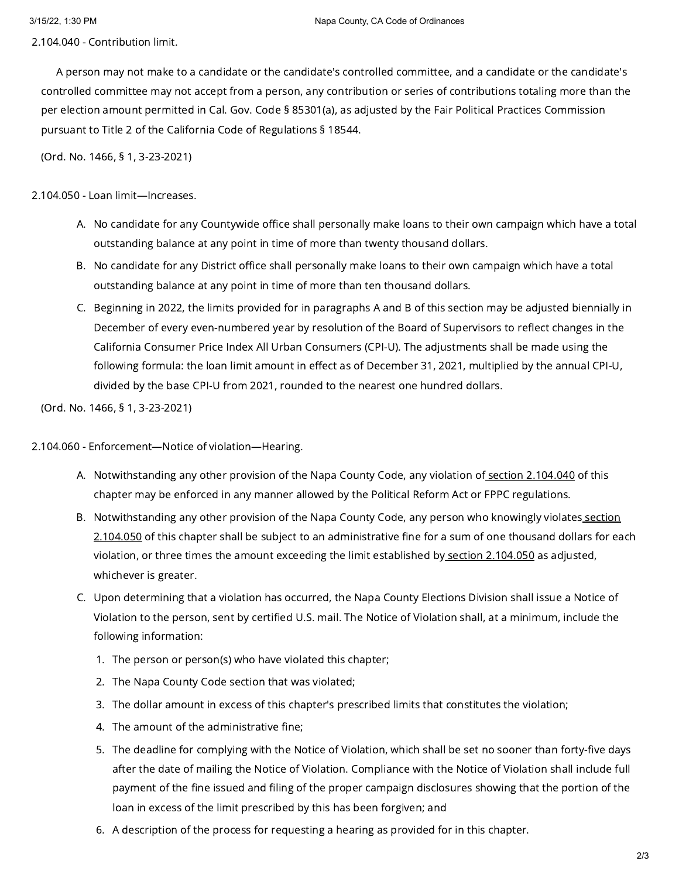2.104.040 - Contribution limit.

A person may not make to a candidate or the candidate's controlled committee, and a candidate or the candidate's controlled committee may not accept from a person, any contribution or series of contributions totaling more than the per election amount permitted in Cal. Gov. Code § 85301(a), as adjusted by the Fair Political Practices Commission pursuant to Title 2 of the California Code of Regulations § 18544.

(Ord. No. 1466, § 1, 3-23-2021)

2.104.050 - Loan limit—Increases.

- A. No candidate for any Countywide office shall personally make loans to their own campaign which have a total outstanding balance at any point in time of more than twenty thousand dollars.
- B. No candidate for any District office shall personally make loans to their own campaign which have a total outstanding balance at any point in time of more than ten thousand dollars.
- C. Beginning in 2022, the limits provided for in paragraphs A and B of this section may be adjusted biennially in December of every even-numbered year by resolution of the Board of Supervisors to reflect changes in the California Consumer Price Index All Urban Consumers (CPI-U). The adjustments shall be made using the following formula: the loan limit amount in effect as of December 31, 2021, multiplied by the annual CPI-U, divided by the base CPI-U from 2021, rounded to the nearest one hundred dollars.

(Ord. No. 1466, § 1, 3-23-2021)

2.104.060 - Enforcement—Notice of violation—Hearing.

- A. Notwithstanding any other provision of the Napa County Code, any violation of<u> section [2.104.040](https://library.municode.com/)</u> of this chapter may be enforced in any manner allowed by the Political Reform Act or FPPC regulations.
- B. [Notwithstanding](https://library.municode.com/) any other provision of the Napa County Code, any person who knowingly violates<u> section</u> 2.104.050 of this chapter shall be subject to an administrative fine for a sum of one thousand dollars for each violation, or three times the amount exceeding the limit established by section [2.104.050](https://library.municode.com/) as adjusted, whichever is greater.
- C. Upon determining that a violation has occurred, the Napa County Elections Division shall issue a Notice of Violation to the person, sent by certified U.S. mail. The Notice of Violation shall, at a minimum, include the following information:
	- 1. The person or person(s) who have violated this chapter;
	- 2. The Napa County Code section that was violated;
	- 3. The dollar amount in excess of this chapter's prescribed limits that constitutes the violation;
	- 4. The amount of the administrative fine;
	- 5. The deadline for complying with the Notice of Violation, which shall be set no sooner than forty-five days after the date of mailing the Notice of Violation. Compliance with the Notice of Violation shall include full payment of the fine issued and filing of the proper campaign disclosures showing that the portion of the loan in excess of the limit prescribed by this has been forgiven; and
	- 6. A description of the process for requesting a hearing as provided for in this chapter.